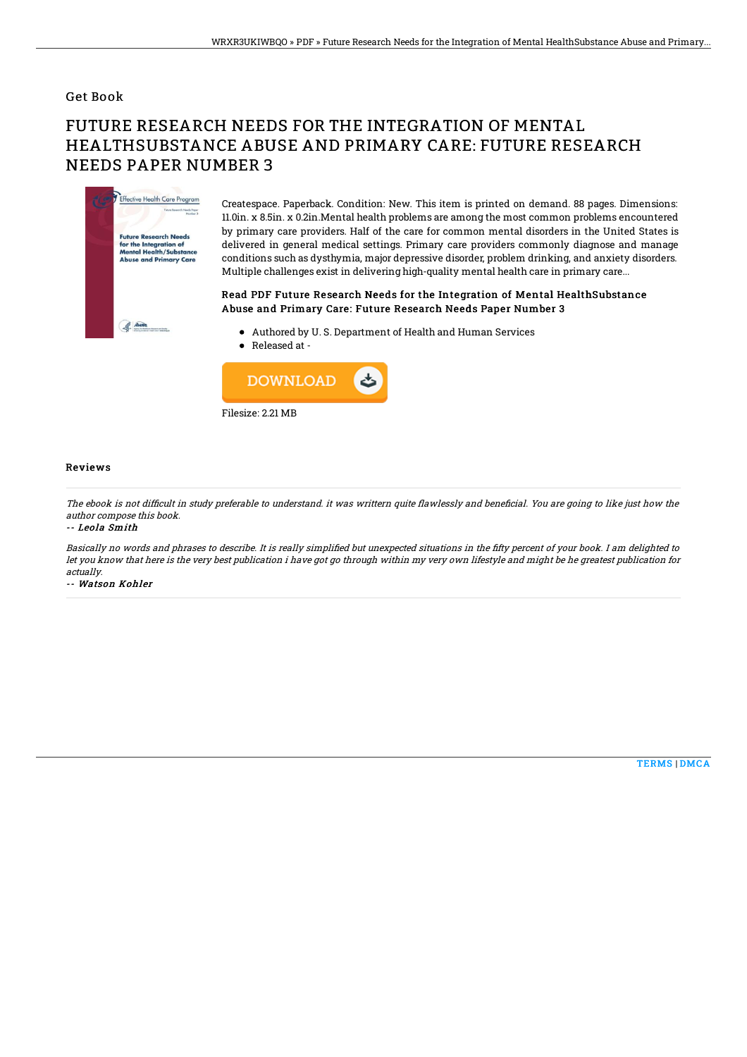### Get Book

# FUTURE RESEARCH NEEDS FOR THE INTEGRATION OF MENTAL HEALTHSUBSTANCE ABUSE AND PRIMARY CARE: FUTURE RESEARCH NEEDS PAPER NUMBER 3



Createspace. Paperback. Condition: New. This item is printed on demand. 88 pages. Dimensions: 11.0in. x 8.5in. x 0.2in.Mental health problems are among the most common problems encountered by primary care providers. Half of the care for common mental disorders in the United States is delivered in general medical settings. Primary care providers commonly diagnose and manage conditions such as dysthymia, major depressive disorder, problem drinking, and anxiety disorders. Multiple challenges exist in delivering high-quality mental health care in primary care...

#### Read PDF Future Research Needs for the Integration of Mental HealthSubstance Abuse and Primary Care: Future Research Needs Paper Number 3

- Authored by U. S. Department of Health and Human Services
- Released at -



#### Reviews

The ebook is not difficult in study preferable to understand. it was writtern quite flawlessly and beneficial. You are going to like just how the author compose this book.

-- Leola Smith

Basically no words and phrases to describe. It is really simplified but unexpected situations in the fifty percent of your book. I am delighted to let you know that here is the very best publication i have got go through within my very own lifestyle and might be he greatest publication for actually.

-- Watson Kohler